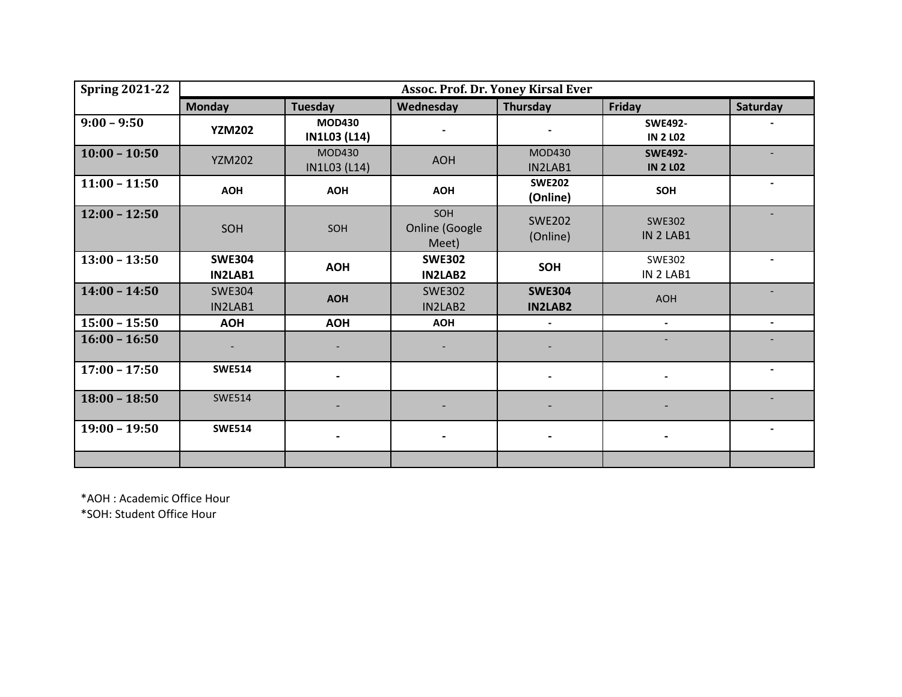| <b>Spring 2021-22</b> | Assoc. Prof. Dr. Yoney Kirsal Ever |                                      |                                 |                                 |                                   |                          |  |  |  |
|-----------------------|------------------------------------|--------------------------------------|---------------------------------|---------------------------------|-----------------------------------|--------------------------|--|--|--|
|                       | <b>Monday</b>                      | Tuesday                              | Wednesday                       | Thursday                        | Friday                            | Saturday                 |  |  |  |
| $9:00 - 9:50$         | <b>YZM202</b>                      | <b>MOD430</b><br><b>IN1L03 (L14)</b> |                                 |                                 | <b>SWE492-</b><br><b>IN 2 LO2</b> |                          |  |  |  |
| $10:00 - 10:50$       | <b>YZM202</b>                      | <b>MOD430</b><br>IN1L03 (L14)        | <b>AOH</b>                      | MOD430<br>IN2LAB1               | <b>SWE492-</b><br><b>IN 2 LO2</b> |                          |  |  |  |
| $11:00 - 11:50$       | <b>AOH</b>                         | <b>AOH</b>                           | <b>AOH</b>                      | <b>SWE202</b><br>(Online)       | SOH                               |                          |  |  |  |
| $12:00 - 12:50$       | SOH                                | SOH                                  | SOH<br>Online (Google<br>Meet)  | <b>SWE202</b><br>(Online)       | <b>SWE302</b><br>IN 2 LAB1        |                          |  |  |  |
| $13:00 - 13:50$       | <b>SWE304</b><br><b>IN2LAB1</b>    | <b>AOH</b>                           | <b>SWE302</b><br><b>IN2LAB2</b> | <b>SOH</b>                      | <b>SWE302</b><br>IN 2 LAB1        | $\blacksquare$           |  |  |  |
| $14:00 - 14:50$       | <b>SWE304</b><br>IN2LAB1           | <b>AOH</b>                           | <b>SWE302</b><br>IN2LAB2        | <b>SWE304</b><br><b>IN2LAB2</b> | <b>AOH</b>                        |                          |  |  |  |
| $15:00 - 15:50$       | <b>AOH</b>                         | <b>AOH</b>                           | <b>AOH</b>                      |                                 | $\overline{\phantom{0}}$          | $\overline{\phantom{a}}$ |  |  |  |
| $16:00 - 16:50$       |                                    |                                      |                                 |                                 |                                   |                          |  |  |  |
| $17:00 - 17:50$       | <b>SWE514</b>                      |                                      |                                 |                                 |                                   |                          |  |  |  |
| $18:00 - 18:50$       | <b>SWE514</b>                      |                                      |                                 |                                 |                                   |                          |  |  |  |
| $19:00 - 19:50$       | <b>SWE514</b>                      |                                      |                                 |                                 |                                   |                          |  |  |  |
|                       |                                    |                                      |                                 |                                 |                                   |                          |  |  |  |

\*AOH : Academic Office Hour \*SOH: Student Office Hour